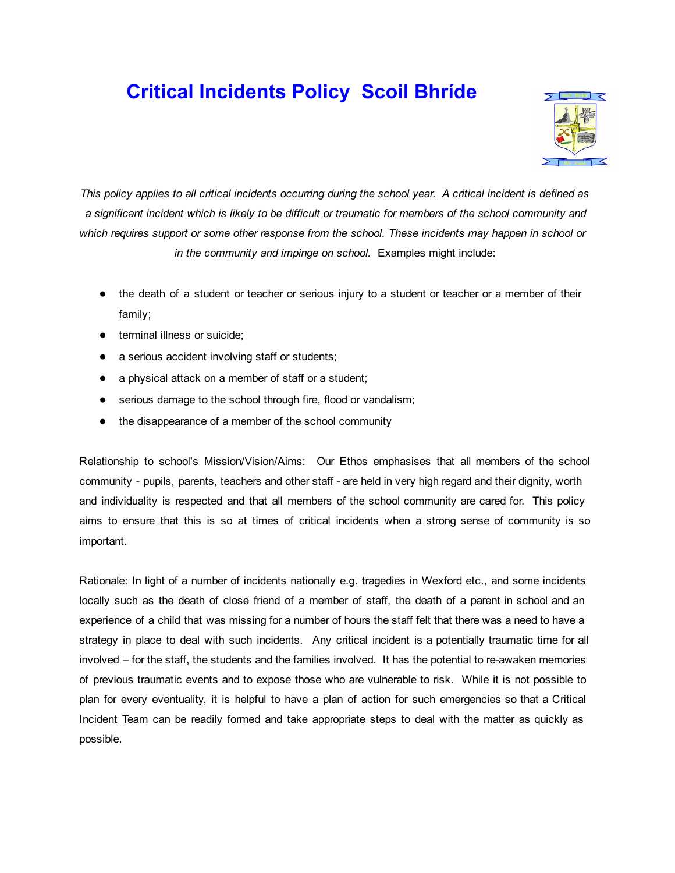# Critical Incidents Policy Scoil Bhríde



This policy applies to all critical incidents occurring during the school year. A critical incident is defined as a significant incident which is likely to be difficult or traumatic for members of the school community and *which requires support or some other response from the school. These incidents may happen in school or in the community and impinge on school.* Examples might include:

- the death of a student or teacher or serious injury to a student or teacher or a member of their family;
- terminal illness or suicide:
- a serious accident involving staff or students;
- a physical attack on a member of staff or a student;
- serious damage to the school through fire, flood or vandalism;
- the disappearance of a member of the school community

Relationship to school's Mission/Vision/Aims: Our Ethos emphasises that all members of the school community - pupils, parents, teachers and other staff - are held in very high regard and their dignity, worth and individuality is respected and that all members of the school community are cared for. This policy aims to ensure that this is so at times of critical incidents when a strong sense of community is so important.

Rationale: In light of a number of incidents nationally e.g. tragedies in Wexford etc., and some incidents locally such as the death of close friend of a member of staff, the death of a parent in school and an experience of a child that was missing for a number of hours the staff felt that there was a need to have a strategy in place to deal with such incidents. Any critical incident is a potentially traumatic time for all involved – for the staff, the students and the families involved. It has the potential to re-awaken memories of previous traumatic events and to expose those who are vulnerable to risk. While it is not possible to plan for every eventuality, it is helpful to have a plan of action for such emergencies so that a Critical Incident Team can be readily formed and take appropriate steps to deal with the matter as quickly as possible.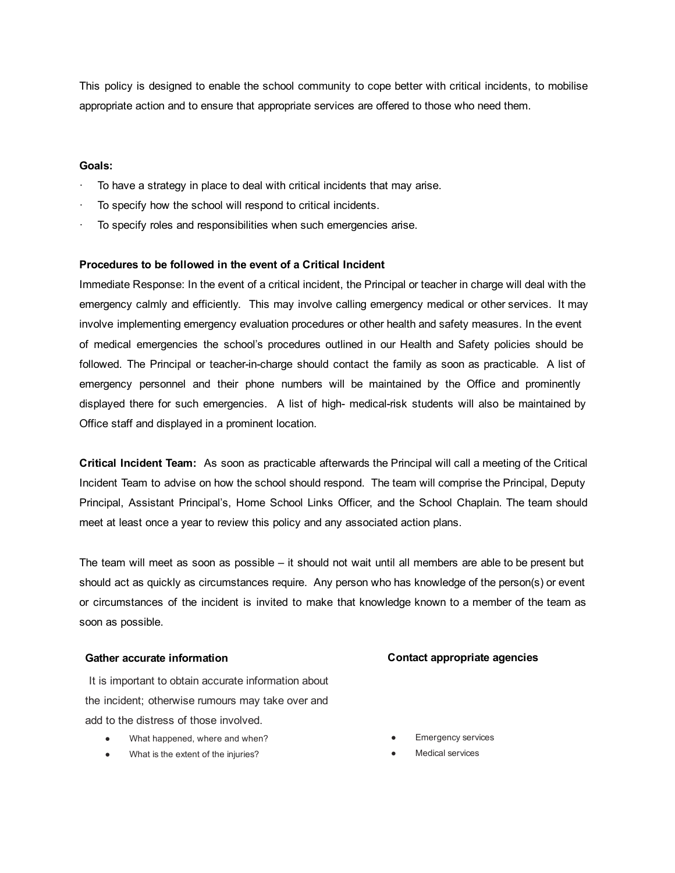This policy is designed to enable the school community to cope better with critical incidents, to mobilise appropriate action and to ensure that appropriate services are offered to those who need them.

#### Goals:

- To have a strategy in place to deal with critical incidents that may arise.
- To specify how the school will respond to critical incidents.
- To specify roles and responsibilities when such emergencies arise.

#### Procedures to be followed in the event of a Critical Incident

Immediate Response: In the event of a critical incident, the Principal or teacher in charge will deal with the emergency calmly and efficiently. This may involve calling emergency medical or other services. It may involve implementing emergency evaluation procedures or other health and safety measures. In the event of medical emergencies the school's procedures outlined in our Health and Safety policies should be followed. The Principal or teacher-in-charge should contact the family as soon as practicable. A list of emergency personnel and their phone numbers will be maintained by the Office and prominently displayed there for such emergencies. A list of high-medical-risk students will also be maintained by Office staff and displayed in a prominent location.

Critical Incident Team: As soon as practicable afterwards the Principal will call a meeting of the Critical Incident Team to advise on how the school should respond. The team will comprise the Principal, Deputy Principal, Assistant Principal's, Home School Links Officer, and the School Chaplain. The team should meet at least once a year to review this policy and any associated action plans.

The team will meet as soon as possible – it should not wait until all members are able to be present but should act as quickly as circumstances require. Any person who has knowledge of the person(s) or event or circumstances of the incident is invited to make that knowledge known to a member of the team as soon as possible.

#### Gather accurate information

It is important to obtain accurate information about the incident; otherwise rumours may take over and add to the distress of those involved.

- What happened, where and when?
- What is the extent of the injuries?

#### Contact appropriate agencies

- **Emergency services**
- **Medical services**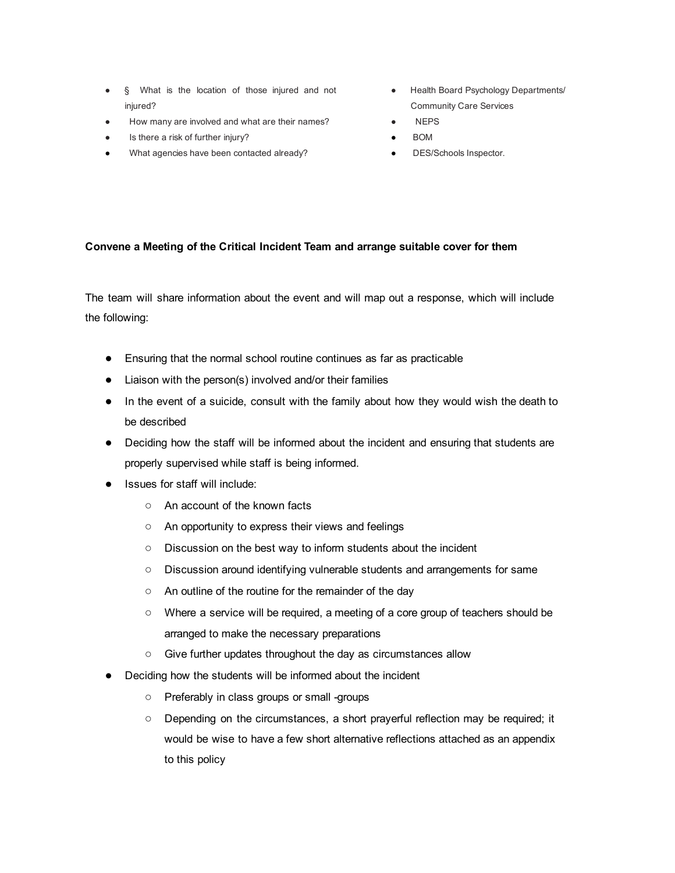- § What is the location of those injured and not injured?
- How many are involved and what are their names?
- Is there a risk of further injury?
- What agencies have been contacted already?
- Health Board Psychology Departments/ Community Care Services
- **NEPS**
- **BOM**
- DES/Schools Inspector.

### Convene a Meeting of the Critical Incident Team and arrange suitable cover for them

The team will share information about the event and will map out a response, which will include the following:

- Ensuring that the normal school routine continues as far as practicable
- Liaison with the person(s) involved and/or their families
- In the event of a suicide, consult with the family about how they would wish the death to be described
- Deciding how the staff will be informed about the incident and ensuring that students are properly supervised while staff is being informed.
- Issues for staff will include:
	- An account of the known facts
	- An opportunity to express their views and feelings
	- Discussion on the best way to inform students about the incident
	- Discussion around identifying vulnerable students and arrangements for same
	- An outline of the routine for the remainder of the day
	- Where a service will be required, a meeting of a core group of teachers should be arranged to make the necessary preparations
	- Give further updates throughout the day as circumstances allow
- Deciding how the students will be informed about the incident
	- o Preferably in class groups or small -groups
	- Depending on the circumstances, a short prayerful reflection may be required; it would be wise to have a few short alternative reflections attached as an appendix to this policy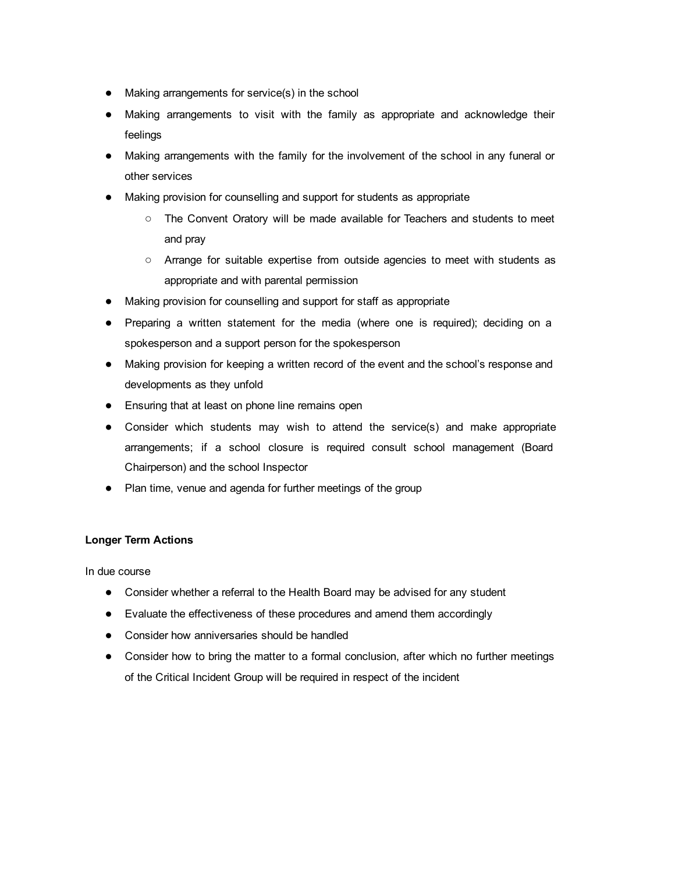- Making arrangements for service(s) in the school
- Making arrangements to visit with the family as appropriate and acknowledge their feelings
- Making arrangements with the family for the involvement of the school in any funeral or other services
- Making provision for counselling and support for students as appropriate
	- The Convent Oratory will be made available for Teachers and students to meet and pray
	- Arrange for suitable expertise from outside agencies to meet with students as appropriate and with parental permission
- Making provision for counselling and support for staff as appropriate
- Preparing a written statement for the media (where one is required); deciding on a spokesperson and a support person for the spokesperson
- Making provision for keeping a written record of the event and the school's response and developments as they unfold
- Ensuring that at least on phone line remains open
- Consider which students may wish to attend the service(s) and make appropriate arrangements; if a school closure is required consult school management (Board Chairperson) and the school Inspector
- Plan time, venue and agenda for further meetings of the group

# Longer Term Actions

In due course

- Consider whether a referral to the Health Board may be advised for any student
- Evaluate the effectiveness of these procedures and amend them accordingly
- Consider how anniversaries should be handled
- Consider how to bring the matter to a formal conclusion, after which no further meetings of the Critical Incident Group will be required in respect of the incident